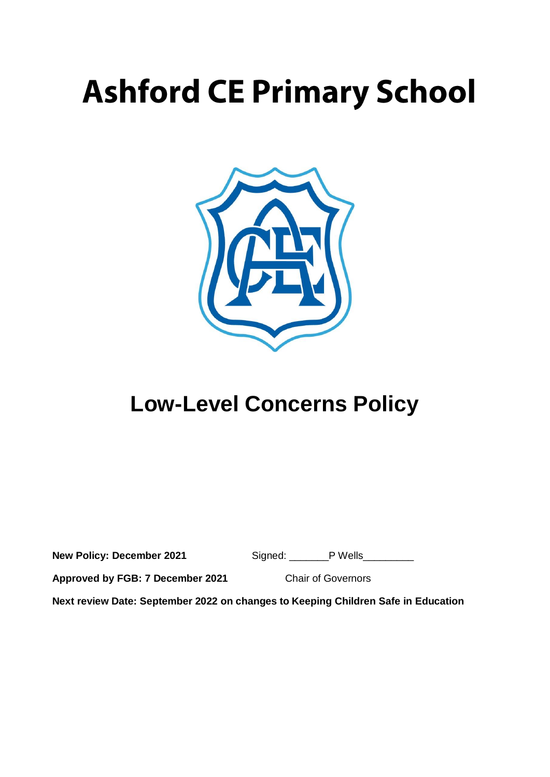# **Ashford CE Primary School**



## **Low-Level Concerns Policy**

| <b>New Policy: December 2021</b> | Signed: | P Wells |
|----------------------------------|---------|---------|
|----------------------------------|---------|---------|

**Approved by FGB: 7 December 2021** Chair of Governors

**Next review Date: September 2022 on changes to Keeping Children Safe in Education**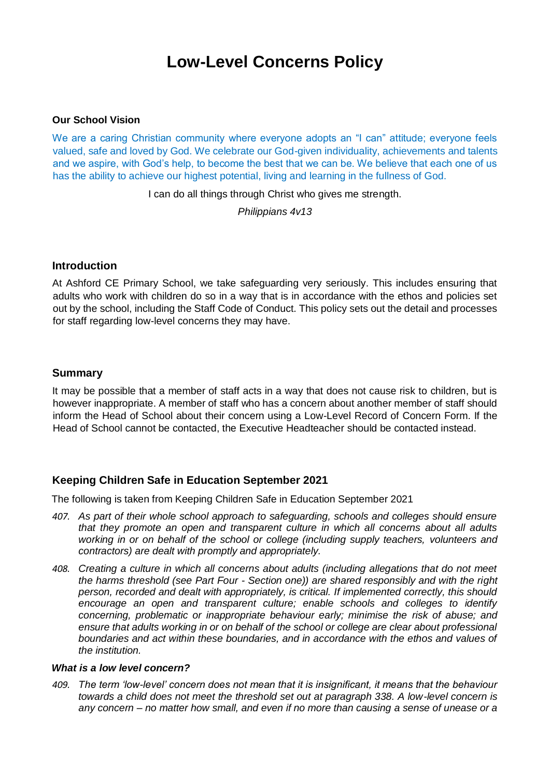### **Low-Level Concerns Policy**

#### **Our School Vision**

We are a caring Christian community where everyone adopts an "I can" attitude; everyone feels valued, safe and loved by God. We celebrate our God-given individuality, achievements and talents and we aspire, with God's help, to become the best that we can be. We believe that each one of us has the ability to achieve our highest potential, living and learning in the fullness of God.

I can do all things through Christ who gives me strength.

*Philippians 4v13*

#### **Introduction**

At Ashford CE Primary School, we take safeguarding very seriously. This includes ensuring that adults who work with children do so in a way that is in accordance with the ethos and policies set out by the school, including the Staff Code of Conduct. This policy sets out the detail and processes for staff regarding low-level concerns they may have.

#### **Summary**

It may be possible that a member of staff acts in a way that does not cause risk to children, but is however inappropriate. A member of staff who has a concern about another member of staff should inform the Head of School about their concern using a Low-Level Record of Concern Form. If the Head of School cannot be contacted, the Executive Headteacher should be contacted instead.

#### **Keeping Children Safe in Education September 2021**

The following is taken from Keeping Children Safe in Education September 2021

- *407. As part of their whole school approach to safeguarding, schools and colleges should ensure that they promote an open and transparent culture in which all concerns about all adults working in or on behalf of the school or college (including supply teachers, volunteers and contractors) are dealt with promptly and appropriately.*
- *408. Creating a culture in which all concerns about adults (including allegations that do not meet the harms threshold (see Part Four - Section one)) are shared responsibly and with the right person, recorded and dealt with appropriately, is critical. If implemented correctly, this should encourage an open and transparent culture; enable schools and colleges to identify concerning, problematic or inappropriate behaviour early; minimise the risk of abuse; and*  ensure that adults working in or on behalf of the school or college are clear about professional *boundaries and act within these boundaries, and in accordance with the ethos and values of the institution.*

#### *What is a low level concern?*

*409. The term 'low-level' concern does not mean that it is insignificant, it means that the behaviour towards a child does not meet the threshold set out at paragraph 338. A low-level concern is any concern – no matter how small, and even if no more than causing a sense of unease or a*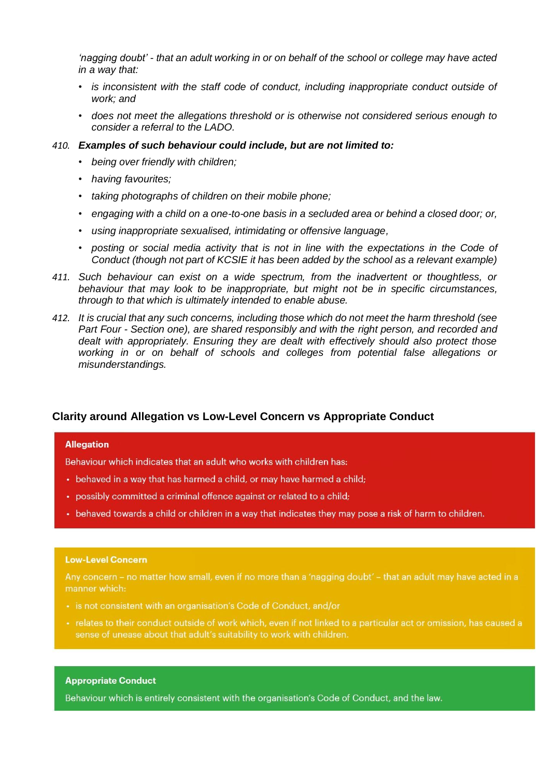*'nagging doubt' - that an adult working in or on behalf of the school or college may have acted in a way that:* 

- *is inconsistent with the staff code of conduct, including inappropriate conduct outside of work; and*
- *does not meet the allegations threshold or is otherwise not considered serious enough to consider a referral to the LADO.*
- *410. Examples of such behaviour could include, but are not limited to:* 
	- *being over friendly with children;*
	- *having favourites;*
	- *taking photographs of children on their mobile phone;*
	- *engaging with a child on a one-to-one basis in a secluded area or behind a closed door; or,*
	- *using inappropriate sexualised, intimidating or offensive language,*
	- *posting or social media activity that is not in line with the expectations in the Code of Conduct (though not part of KCSIE it has been added by the school as a relevant example)*
- *411. Such behaviour can exist on a wide spectrum, from the inadvertent or thoughtless, or behaviour that may look to be inappropriate, but might not be in specific circumstances, through to that which is ultimately intended to enable abuse.*
- *412. It is crucial that any such concerns, including those which do not meet the harm threshold (see Part Four - Section one), are shared responsibly and with the right person, and recorded and dealt with appropriately. Ensuring they are dealt with effectively should also protect those working in or on behalf of schools and colleges from potential false allegations or misunderstandings.*

#### **Clarity around Allegation vs Low-Level Concern vs Appropriate Conduct**

#### **Allegation**

Behaviour which indicates that an adult who works with children has:

- behaved in a way that has harmed a child, or may have harmed a child;
- possibly committed a criminal offence against or related to a child;
- behaved towards a child or children in a way that indicates they may pose a risk of harm to children.

#### **Low-Level Concern**

Any concern - no matter how small, even if no more than a 'nagging doubt' - that an adult may have acted in a manner which:

- · is not consistent with an organisation's Code of Conduct, and/or
- · relates to their conduct outside of work which, even if not linked to a particular act or omission, has caused a sense of unease about that adult's suitability to work with children.

#### **Appropriate Conduct**

Behaviour which is entirely consistent with the organisation's Code of Conduct, and the law.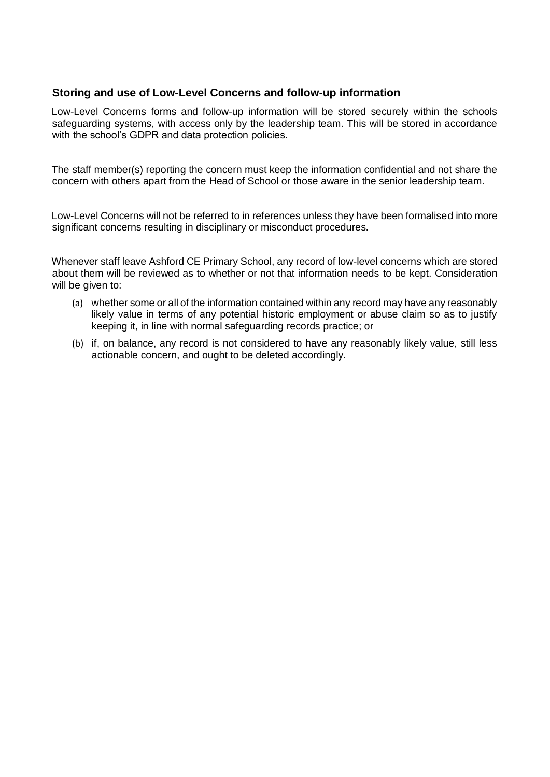#### **Storing and use of Low-Level Concerns and follow-up information**

Low-Level Concerns forms and follow-up information will be stored securely within the schools safeguarding systems, with access only by the leadership team. This will be stored in accordance with the school's GDPR and data protection policies.

The staff member(s) reporting the concern must keep the information confidential and not share the concern with others apart from the Head of School or those aware in the senior leadership team.

Low-Level Concerns will not be referred to in references unless they have been formalised into more significant concerns resulting in disciplinary or misconduct procedures.

Whenever staff leave Ashford CE Primary School, any record of low-level concerns which are stored about them will be reviewed as to whether or not that information needs to be kept. Consideration will be given to:

- (a) whether some or all of the information contained within any record may have any reasonably likely value in terms of any potential historic employment or abuse claim so as to justify keeping it, in line with normal safeguarding records practice; or
- (b) if, on balance, any record is not considered to have any reasonably likely value, still less actionable concern, and ought to be deleted accordingly.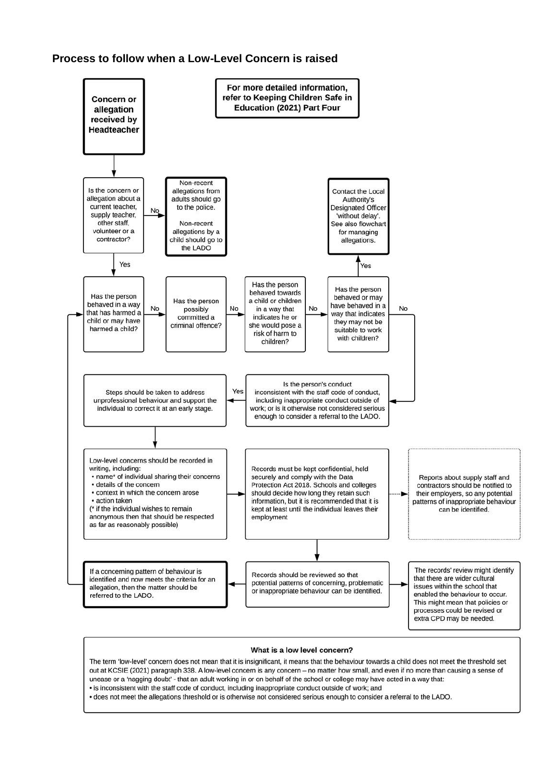#### **Process to follow when a Low-Level Concern is raised**



#### What is a low level concern?

The term 'low-level' concern does not mean that it is insignificant, it means that the behaviour towards a child does not meet the threshold set out at KCSIE (2021) paragraph 338. A low-level concern is any concern - no matter how small, and even if no more than causing a sense of unease or a 'nagging doubt' - that an adult working in or on behalf of the school or college may have acted in a way that: • is inconsistent with the staff code of conduct, including inappropriate conduct outside of work; and . does not meet the allegations threshold or is otherwise not considered serious enough to consider a referral to the LADO.